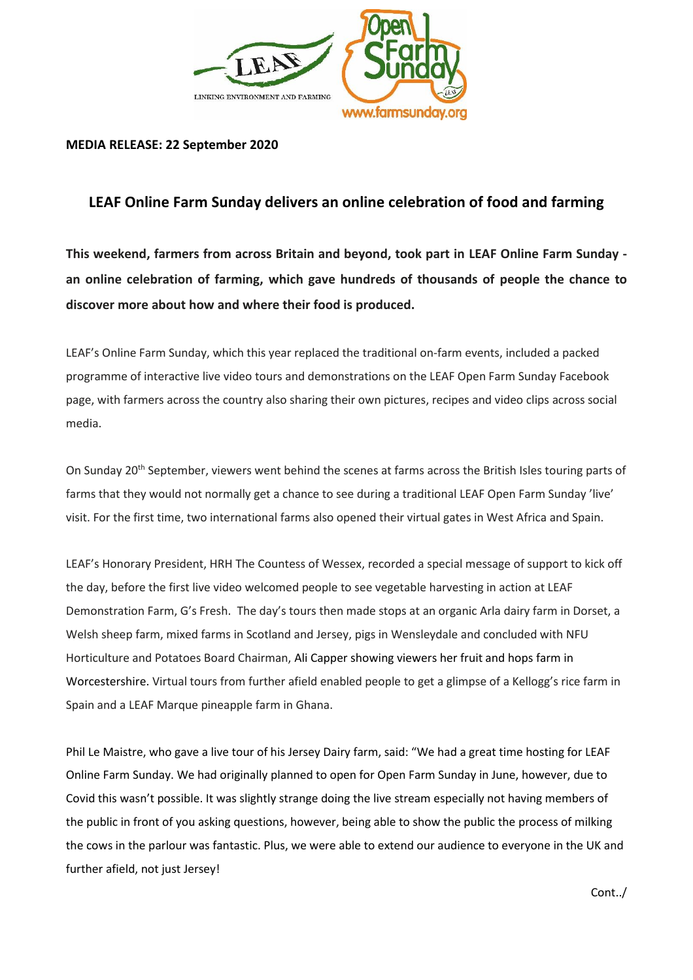

## **MEDIA RELEASE: 22 September 2020**

## **LEAF Online Farm Sunday delivers an online celebration of food and farming**

**This weekend, farmers from across Britain and beyond, took part in LEAF Online Farm Sunday an online celebration of farming, which gave hundreds of thousands of people the chance to discover more about how and where their food is produced.** 

LEAF's Online Farm Sunday, which this year replaced the traditional on-farm events, included a packed programme of interactive live video tours and demonstrations on the LEAF Open Farm Sunday Facebook page, with farmers across the country also sharing their own pictures, recipes and video clips across social media.

On Sunday 20<sup>th</sup> September, viewers went behind the scenes at farms across the British Isles touring parts of farms that they would not normally get a chance to see during a traditional LEAF Open Farm Sunday 'live' visit. For the first time, two international farms also opened their virtual gates in West Africa and Spain.

LEAF's Honorary President, HRH The Countess of Wessex, recorded a special message of support to kick off the day, before the first live video welcomed people to see vegetable harvesting in action at LEAF Demonstration Farm, G's Fresh. The day's tours then made stops at an organic Arla dairy farm in Dorset, a Welsh sheep farm, mixed farms in Scotland and Jersey, pigs in Wensleydale and concluded with NFU Horticulture and Potatoes Board Chairman, Ali Capper showing viewers her fruit and hops farm in Worcestershire. Virtual tours from further afield enabled people to get a glimpse of a Kellogg's rice farm in Spain and a LEAF Marque pineapple farm in Ghana.

Phil Le Maistre, who gave a live tour of his Jersey Dairy farm, said: "We had a great time hosting for LEAF Online Farm Sunday. We had originally planned to open for Open Farm Sunday in June, however, due to Covid this wasn't possible. It was slightly strange doing the live stream especially not having members of the public in front of you asking questions, however, being able to show the public the process of milking the cows in the parlour was fantastic. Plus, we were able to extend our audience to everyone in the UK and further afield, not just Jersey!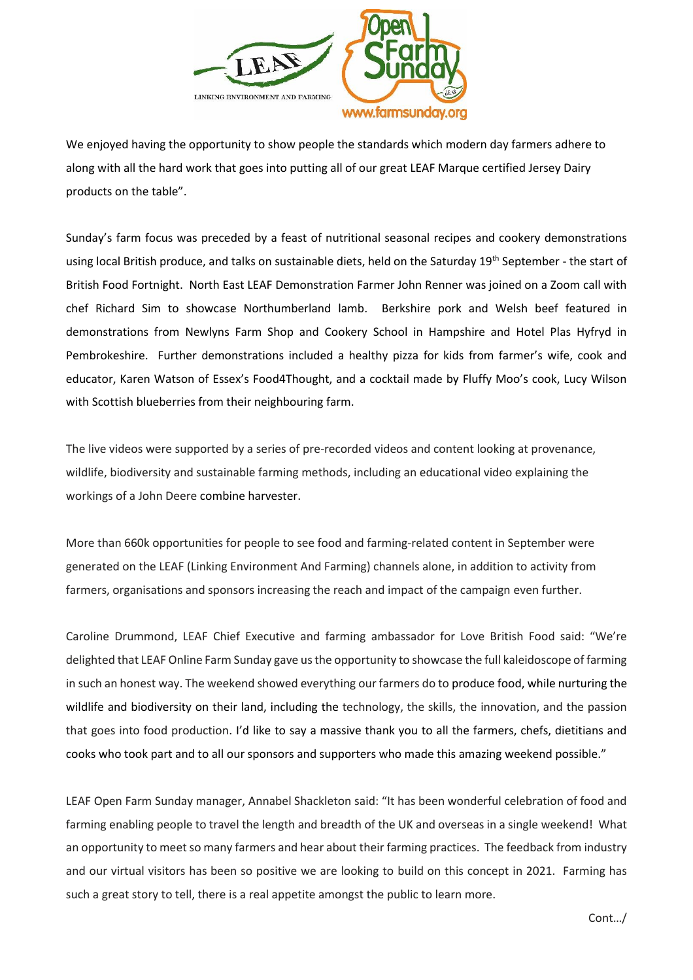

We enjoyed having the opportunity to show people the standards which modern day farmers adhere to along with all the hard work that goes into putting all of our great LEAF Marque certified Jersey Dairy products on the table".

Sunday's farm focus was preceded by a feast of nutritional seasonal recipes and cookery demonstrations using local British produce, and talks on sustainable diets, held on the Saturday 19<sup>th</sup> September - the start of British Food Fortnight. North East LEAF Demonstration Farmer John Renner was joined on a Zoom call with chef Richard Sim to showcase Northumberland lamb. Berkshire pork and Welsh beef featured in demonstrations from Newlyns Farm Shop and Cookery School in Hampshire and Hotel Plas Hyfryd in Pembrokeshire. Further demonstrations included a healthy pizza for kids from farmer's wife, cook and educator, Karen Watson of Essex's Food4Thought, and a cocktail made by Fluffy Moo's cook, Lucy Wilson with Scottish blueberries from their neighbouring farm.

The live videos were supported by a series of pre-recorded videos and content looking at provenance, wildlife, biodiversity and sustainable farming methods, including an educational video explaining the workings of a John Deere combine harvester.

More than 660k opportunities for people to see food and farming-related content in September were generated on the LEAF (Linking Environment And Farming) channels alone, in addition to activity from farmers, organisations and sponsors increasing the reach and impact of the campaign even further.

Caroline Drummond, LEAF Chief Executive and farming ambassador for Love British Food said: "We're delighted that LEAF Online Farm Sunday gave us the opportunity to showcase the full kaleidoscope of farming in such an honest way. The weekend showed everything our farmers do to produce food, while nurturing the wildlife and biodiversity on their land, including the technology, the skills, the innovation, and the passion that goes into food production. I'd like to say a massive thank you to all the farmers, chefs, dietitians and cooks who took part and to all our sponsors and supporters who made this amazing weekend possible."

LEAF Open Farm Sunday manager, Annabel Shackleton said: "It has been wonderful celebration of food and farming enabling people to travel the length and breadth of the UK and overseas in a single weekend! What an opportunity to meet so many farmers and hear about their farming practices. The feedback from industry and our virtual visitors has been so positive we are looking to build on this concept in 2021. Farming has such a great story to tell, there is a real appetite amongst the public to learn more.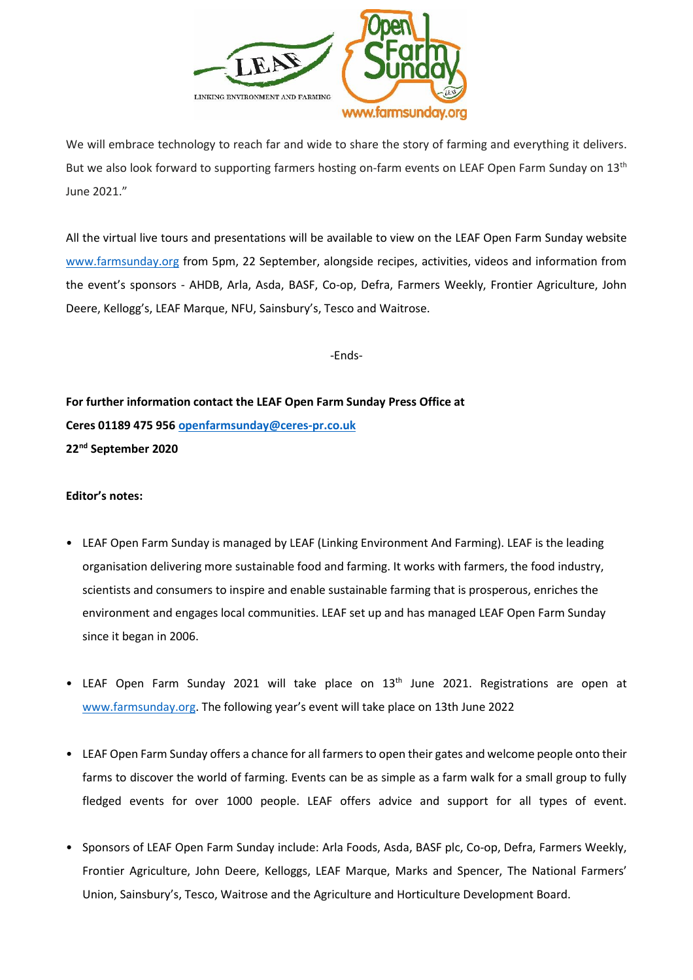

We will embrace technology to reach far and wide to share the story of farming and everything it delivers. But we also look forward to supporting farmers hosting on-farm events on LEAF Open Farm Sunday on 13<sup>th</sup> June 2021."

All the virtual live tours and presentations will be available to view on the LEAF Open Farm Sunday website [www.farmsunday.org](http://www.farmsunday.org/) from 5pm, 22 September, alongside recipes, activities, videos and information from the event's sponsors - AHDB, Arla, Asda, BASF, Co-op, Defra, Farmers Weekly, Frontier Agriculture, John Deere, Kellogg's, LEAF Marque, NFU, Sainsbury's, Tesco and Waitrose.

-Ends-

**For further information contact the LEAF Open Farm Sunday Press Office at Ceres 01189 475 956 [openfarmsunday@ceres-pr.co.uk](mailto:openfarmsunday@ceres-pr.co.uk) 22nd September 2020** 

## **Editor's notes:**

- LEAF Open Farm Sunday is managed by LEAF (Linking Environment And Farming). LEAF is the leading organisation delivering more sustainable food and farming. It works with farmers, the food industry, scientists and consumers to inspire and enable sustainable farming that is prosperous, enriches the environment and engages local communities. LEAF set up and has managed LEAF Open Farm Sunday since it began in 2006.
- LEAF Open Farm Sunday 2021 will take place on 13<sup>th</sup> June 2021. Registrations are open at [www.farmsunday.org.](http://www.farmsunday.org/) The following year's event will take place on 13th June 2022
- LEAF Open Farm Sunday offers a chance for all farmers to open their gates and welcome people onto their farms to discover the world of farming. Events can be as simple as a farm walk for a small group to fully fledged events for over 1000 people. LEAF offers advice and support for all types of event.
- Sponsors of LEAF Open Farm Sunday include: Arla Foods, Asda, BASF plc, Co-op, Defra, Farmers Weekly, Frontier Agriculture, John Deere, Kelloggs, LEAF Marque, Marks and Spencer, The National Farmers' Union, Sainsbury's, Tesco, Waitrose and the Agriculture and Horticulture Development Board.